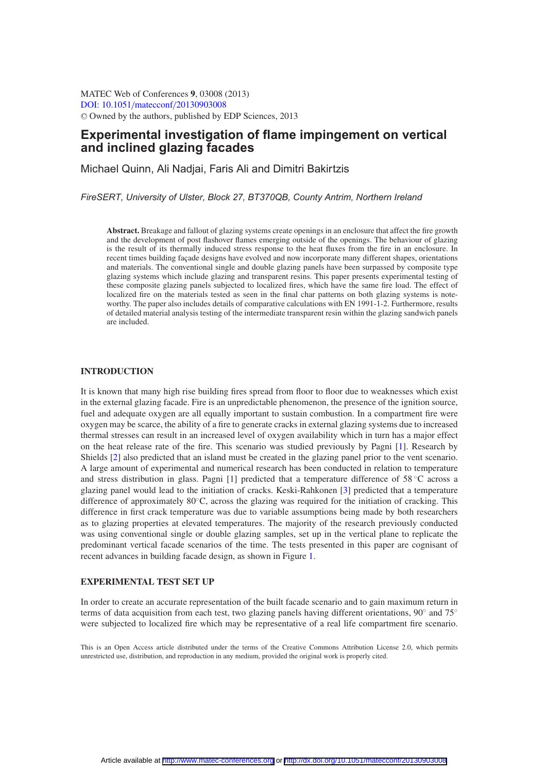MATEC Web of Conferences **9**, 03008 (2013) [DOI: 10.1051](http://dx.doi.org/10.1051/matecconf/20130903008)/matecconf/20130903008 <sup>C</sup> Owned by the authors, published by EDP Sciences, 2013

# **Experimental investigation of flame impingement on vertical and inclined glazing facades**

Michael Quinn, Ali Nadjai, Faris Ali and Dimitri Bakirtzis

*FireSERT, University of Ulster, Block 27, BT370QB, County Antrim, Northern Ireland*

**Abstract.** Breakage and fallout of glazing systems create openings in an enclosure that affect the fire growth and the development of post flashover flames emerging outside of the openings. The behaviour of glazing is the result of its thermally induced stress response to the heat fluxes from the fire in an enclosure. In recent times building façade designs have evolved and now incorporate many different shapes, orientations and materials. The conventional single and double glazing panels have been surpassed by composite type glazing systems which include glazing and transparent resins. This paper presents experimental testing of these composite glazing panels subjected to localized fires, which have the same fire load. The effect of localized fire on the materials tested as seen in the final char patterns on both glazing systems is noteworthy. The paper also includes details of comparative calculations with EN 1991-1-2. Furthermore, results of detailed material analysis testing of the intermediate transparent resin within the glazing sandwich panels are included.

#### **INTRODUCTION**

It is known that many high rise building fires spread from floor to floor due to weaknesses which exist in the external glazing facade. Fire is an unpredictable phenomenon, the presence of the ignition source, fuel and adequate oxygen are all equally important to sustain combustion. In a compartment fire were oxygen may be scarce, the ability of a fire to generate cracks in external glazing systems due to increased thermal stresses can result in an increased level of oxygen availability which in turn has a major effect on the heat release rate of the fire. This scenario was studied previously by Pagni [\[1](#page-9-0)]. Research by Shields [\[2](#page-9-1)] also predicted that an island must be created in the glazing panel prior to the vent scenario. A large amount of experimental and numerical research has been conducted in relation to temperature and stress distribution in glass. Pagni [1] predicted that a temperature difference of 58 °C across a glazing panel would lead to the initiation of cracks. Keski-Rahkonen [\[3\]](#page-9-2) predicted that a temperature difference of approximately 80◦C, across the glazing was required for the initiation of cracking. This difference in first crack temperature was due to variable assumptions being made by both researchers as to glazing properties at elevated temperatures. The majority of the research previously conducted was using conventional single or double glazing samples, set up in the vertical plane to replicate the predominant vertical facade scenarios of the time. The tests presented in this paper are cognisant of recent advances in building facade design, as shown in Figure [1.](#page-1-0)

#### **EXPERIMENTAL TEST SET UP**

In order to create an accurate representation of the built facade scenario and to gain maximum return in terms of data acquisition from each test, two glazing panels having different orientations, 90° and 75° were subjected to localized fire which may be representative of a real life compartment fire scenario.

This is an Open Access article distributed under the terms of the Creative Commons Attribution License 2.0, which permits unrestricted use, distribution, and reproduction in any medium, provided the original work is properly cited.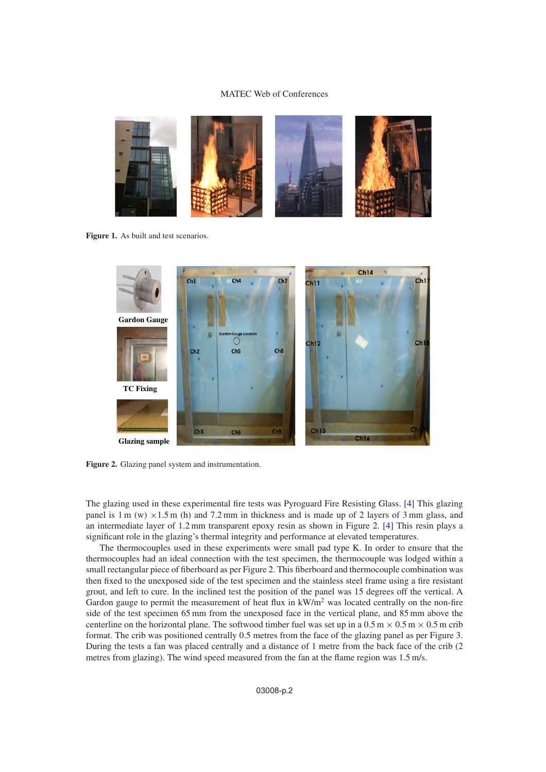<span id="page-1-0"></span>

**Figure 1.** As built and test scenarios.

<span id="page-1-1"></span>

**Figure 2.** Glazing panel system and instrumentation.

The glazing used in these experimental fire tests was Pyroguard Fire Resisting Glass. [\[4](#page-9-3)] This glazing panel is 1 m (w)  $\times$ 1.5 m (h) and 7.2 mm in thickness and is made up of 2 layers of 3 mm glass, and an intermediate layer of 1.2 mm transparent epoxy resin as shown in Figure [2.](#page-1-1) [\[4](#page-9-3)] This resin plays a significant role in the glazing's thermal integrity and performance at elevated temperatures.

The thermocouples used in these experiments were small pad type K. In order to ensure that the thermocouples had an ideal connection with the test specimen, the thermocouple was lodged within a small rectangular piece of fiberboard as per Figure [2.](#page-1-1) This fiberboard and thermocouple combination was then fixed to the unexposed side of the test specimen and the stainless steel frame using a fire resistant grout, and left to cure. In the inclined test the position of the panel was 15 degrees off the vertical. A Gardon gauge to permit the measurement of heat flux in  $kW/m^2$  was located centrally on the non-fire side of the test specimen 65 mm from the unexposed face in the vertical plane, and 85 mm above the centerline on the horizontal plane. The softwood timber fuel was set up in a  $0.5 \text{ m} \times 0.5 \text{ m} \times 0.5 \text{ m}$  crib format. The crib was positioned centrally 0.5 metres from the face of the glazing panel as per Figure 3. During the tests a fan was placed centrally and a distance of 1 metre from the back face of the crib (2 metres from glazing). The wind speed measured from the fan at the flame region was 1.5 m/s.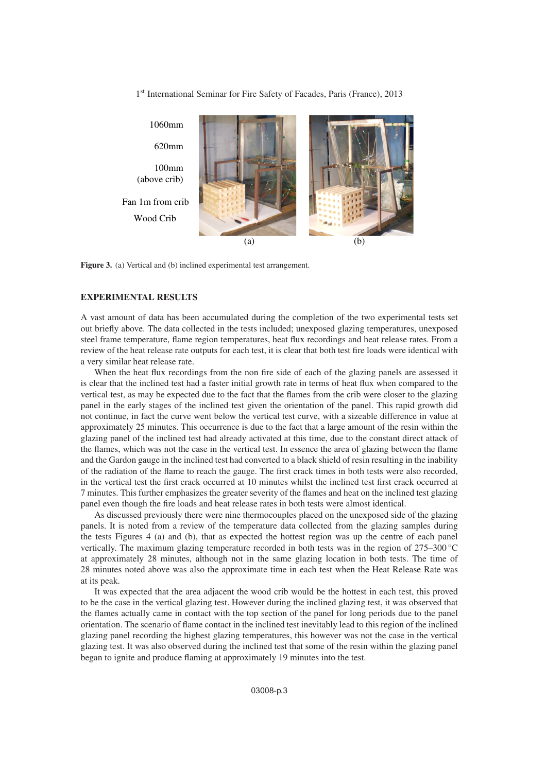

1<sup>st</sup> International Seminar for Fire Safety of Facades, Paris (France), 2013

**Figure 3.** (a) Vertical and (b) inclined experimental test arrangement.

# **EXPERIMENTAL RESULTS**

A vast amount of data has been accumulated during the completion of the two experimental tests set out briefly above. The data collected in the tests included; unexposed glazing temperatures, unexposed steel frame temperature, flame region temperatures, heat flux recordings and heat release rates. From a review of the heat release rate outputs for each test, it is clear that both test fire loads were identical with a very similar heat release rate.

When the heat flux recordings from the non fire side of each of the glazing panels are assessed it is clear that the inclined test had a faster initial growth rate in terms of heat flux when compared to the vertical test, as may be expected due to the fact that the flames from the crib were closer to the glazing panel in the early stages of the inclined test given the orientation of the panel. This rapid growth did not continue, in fact the curve went below the vertical test curve, with a sizeable difference in value at approximately 25 minutes. This occurrence is due to the fact that a large amount of the resin within the glazing panel of the inclined test had already activated at this time, due to the constant direct attack of the flames, which was not the case in the vertical test. In essence the area of glazing between the flame and the Gardon gauge in the inclined test had converted to a black shield of resin resulting in the inability of the radiation of the flame to reach the gauge. The first crack times in both tests were also recorded, in the vertical test the first crack occurred at 10 minutes whilst the inclined test first crack occurred at 7 minutes. This further emphasizes the greater severity of the flames and heat on the inclined test glazing panel even though the fire loads and heat release rates in both tests were almost identical.

As discussed previously there were nine thermocouples placed on the unexposed side of the glazing panels. It is noted from a review of the temperature data collected from the glazing samples during the tests Figures 4 (a) and (b), that as expected the hottest region was up the centre of each panel vertically. The maximum glazing temperature recorded in both tests was in the region of 275–300 ◦C at approximately 28 minutes, although not in the same glazing location in both tests. The time of 28 minutes noted above was also the approximate time in each test when the Heat Release Rate was at its peak.

It was expected that the area adjacent the wood crib would be the hottest in each test, this proved to be the case in the vertical glazing test. However during the inclined glazing test, it was observed that the flames actually came in contact with the top section of the panel for long periods due to the panel orientation. The scenario of flame contact in the inclined test inevitably lead to this region of the inclined glazing panel recording the highest glazing temperatures, this however was not the case in the vertical glazing test. It was also observed during the inclined test that some of the resin within the glazing panel began to ignite and produce flaming at approximately 19 minutes into the test.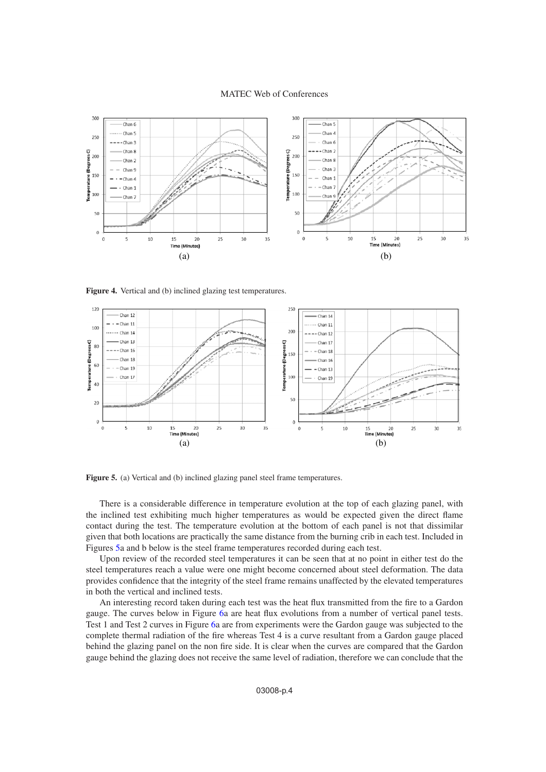

**Figure 4.** Vertical and (b) inclined glazing test temperatures.

<span id="page-3-0"></span>

**Figure 5.** (a) Vertical and (b) inclined glazing panel steel frame temperatures.

There is a considerable difference in temperature evolution at the top of each glazing panel, with the inclined test exhibiting much higher temperatures as would be expected given the direct flame contact during the test. The temperature evolution at the bottom of each panel is not that dissimilar given that both locations are practically the same distance from the burning crib in each test. Included in Figures [5a](#page-3-0) and b below is the steel frame temperatures recorded during each test.

Upon review of the recorded steel temperatures it can be seen that at no point in either test do the steel temperatures reach a value were one might become concerned about steel deformation. The data provides confidence that the integrity of the steel frame remains unaffected by the elevated temperatures in both the vertical and inclined tests.

An interesting record taken during each test was the heat flux transmitted from the fire to a Gardon gauge. The curves below in Figure [6a](#page-4-0) are heat flux evolutions from a number of vertical panel tests. Test 1 and Test 2 curves in Figure [6a](#page-4-0) are from experiments were the Gardon gauge was subjected to the complete thermal radiation of the fire whereas Test 4 is a curve resultant from a Gardon gauge placed behind the glazing panel on the non fire side. It is clear when the curves are compared that the Gardon gauge behind the glazing does not receive the same level of radiation, therefore we can conclude that the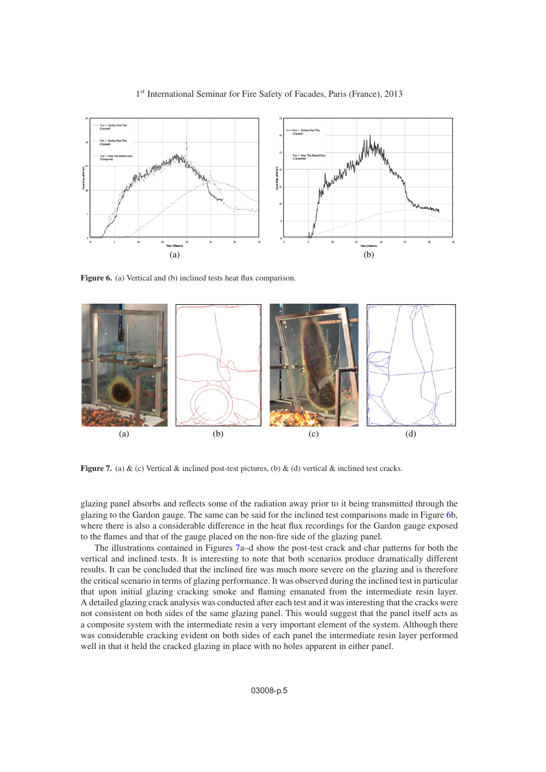<span id="page-4-0"></span>

# 1<sup>st</sup> International Seminar for Fire Safety of Facades, Paris (France), 2013

**Figure 6.** (a) Vertical and (b) inclined tests heat flux comparison.

<span id="page-4-1"></span>

**Figure 7.** (a) & (c) Vertical & inclined post-test pictures, (b) & (d) vertical & inclined test cracks.

glazing panel absorbs and reflects some of the radiation away prior to it being transmitted through the glazing to the Gardon gauge. The same can be said for the inclined test comparisons made in Figure [6b](#page-4-0), where there is also a considerable difference in the heat flux recordings for the Gardon gauge exposed to the flames and that of the gauge placed on the non-fire side of the glazing panel.

The illustrations contained in Figures [7a](#page-4-1)–d show the post-test crack and char patterns for both the vertical and inclined tests. It is interesting to note that both scenarios produce dramatically different results. It can be concluded that the inclined fire was much more severe on the glazing and is therefore the critical scenario in terms of glazing performance. It was observed during the inclined test in particular that upon initial glazing cracking smoke and flaming emanated from the intermediate resin layer. A detailed glazing crack analysis was conducted after each test and it was interesting that the cracks were not consistent on both sides of the same glazing panel. This would suggest that the panel itself acts as a composite system with the intermediate resin a very important element of the system. Although there was considerable cracking evident on both sides of each panel the intermediate resin layer performed well in that it held the cracked glazing in place with no holes apparent in either panel.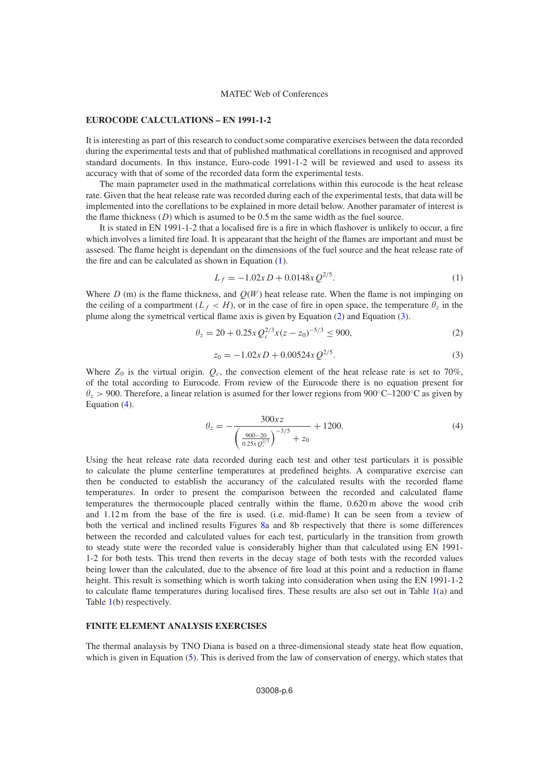#### **EUROCODE CALCULATIONS – EN 1991-1-2**

It is interesting as part of this research to conduct some comparative exercises between the data recorded during the experimental tests and that of published mathmatical corellations in recognised and approved standard documents. In this instance, Euro-code 1991-1-2 will be reviewed and used to assess its accuracy with that of some of the recorded data form the experimental tests.

The main paprameter used in the mathmatical correlations within this eurocode is the heat release rate. Given that the heat release rate was recorded during each of the experimental tests, that data will be implemented into the corellations to be explained in more detail below. Another paramater of interest is the flame thickness  $(D)$  which is asumed to be 0.5 m the same width as the fuel source.

It is stated in EN 1991-1-2 that a localised fire is a fire in which flashover is unlikely to occur, a fire which involves a limited fire load. It is appearant that the height of the flames are important and must be assesed. The flame height is dependant on the dimensions of the fuel source and the heat release rate of the fire and can be calculated as shown in Equation [\(1\)](#page-5-0).

$$
L_f = -1.02x D + 0.0148x Q^{2/5}.
$$
 (1)

<span id="page-5-1"></span><span id="page-5-0"></span>Where  $D$  (m) is the flame thickness, and  $Q(W)$  heat release rate. When the flame is not impinging on the ceiling of a compartment  $(L_f < H)$ , or in the case of fire in open space, the temperature  $\theta_z$  in the plume along the symetrical vertical flame axis is given by Equation [\(2\)](#page-5-1) and Equation [\(3\)](#page-5-2).

<span id="page-5-2"></span>
$$
\theta_z = 20 + 0.25x Q_c^{2/3} x (z - z_0)^{-5/3} \le 900,
$$
\n(2)

$$
z_0 = -1.02x D + 0.00524x Q^{2/5}.
$$
 (3)

Where  $Z_0$  is the virtual origin.  $Q_c$ , the convection element of the heat release rate is set to 70%, of the total according to Eurocode. From review of the Eurocode there is no equation present for  $\theta_z > 900$ . Therefore, a linear relation is asumed for ther lower regions from 900°C–1200°C as given by Equation [\(4\)](#page-5-3).

$$
\theta_z = -\frac{300xz}{\left(\frac{900-20}{0.25xQ_c^{2/3}}\right)^{-3/5} + z_0} + 1200.
$$
\n(4)

<span id="page-5-3"></span>Using the heat release rate data recorded during each test and other test particulars it is possible to calculate the plume centerline temperatures at predefined heights. A comparative exercise can then be conducted to establish the accurancy of the calculated results with the recorded flame temperatures. In order to present the comparison between the recorded and calculated flame temperatures the thermocouple placed centrally within the flame, 0.620 m above the wood crib and 1.12 m from the base of the fire is used. (i.e. mid-flame) It can be seen from a review of both the vertical and inclined results Figures [8a](#page-6-0) and 8b respectively that there is some differences between the recorded and calculated values for each test, particularly in the transition from growth to steady state were the recorded value is considerably higher than that calculated using EN 1991- 1-2 for both tests. This trend then reverts in the decay stage of both tests with the recorded values being lower than the calculated, due to the absence of fire load at this point and a reduction in flame height. This result is something which is worth taking into consideration when using the EN 1991-1-2 to calculate flame temperatures during localised fires. These results are also set out in Table [1\(](#page-6-1)a) and Table [1\(](#page-6-1)b) respectively.

# **FINITE ELEMENT ANALYSIS EXERCISES**

The thermal analaysis by TNO Diana is based on a three-dimensional steady state heat flow equation, which is given in Equation [\(5\)](#page-6-2). This is derived from the law of conservation of energy, which states that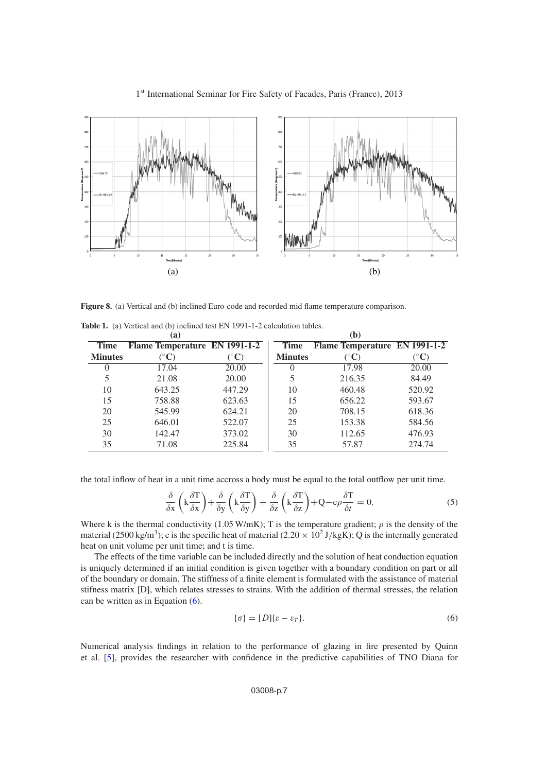<span id="page-6-0"></span>

### 1<sup>st</sup> International Seminar for Fire Safety of Facades, Paris (France), 2013

**Figure 8.** (a) Vertical and (b) inclined Euro-code and recorded mid flame temperature comparison.

|                | (a)                           |                        | (b)            |                               |                        |  |
|----------------|-------------------------------|------------------------|----------------|-------------------------------|------------------------|--|
| <b>Time</b>    | Flame Temperature EN 1991-1-2 |                        | <b>Time</b>    | Flame Temperature EN 1991-1-2 |                        |  |
| <b>Minutes</b> | $({}^\circ\mathbf{C})$        | $({}^\circ\mathbf{C})$ | <b>Minutes</b> | $({}^\circ\mathbf{C})$        | $({}^\circ\mathbf{C})$ |  |
| 0              | 17.04                         | 20.00                  | $\theta$       | 17.98                         | 20.00                  |  |
| 5              | 21.08                         | 20.00                  |                | 216.35                        | 84.49                  |  |
| 10             | 643.25                        | 447.29                 | 10             | 460.48                        | 520.92                 |  |
| 15             | 758.88                        | 623.63                 | 15             | 656.22                        | 593.67                 |  |
| 20             | 545.99                        | 624.21                 | 20             | 708.15                        | 618.36                 |  |
| 25             | 646.01                        | 522.07                 | 25             | 153.38                        | 584.56                 |  |
| 30             | 142.47                        | 373.02                 | 30             | 112.65                        | 476.93                 |  |
| 35             | 71.08                         | 225.84                 | 35             | 57.87                         | 274.74                 |  |

<span id="page-6-1"></span>**Table 1.** (a) Vertical and (b) inclined test EN 1991-1-2 calculation tables.

<span id="page-6-2"></span>the total inflow of heat in a unit time accross a body must be equal to the total outflow per unit time.

$$
\frac{\delta}{\delta x} \left( k \frac{\delta T}{\delta x} \right) + \frac{\delta}{\delta y} \left( k \frac{\delta T}{\delta y} \right) + \frac{\delta}{\delta z} \left( k \frac{\delta T}{\delta z} \right) + Q - c \rho \frac{\delta T}{\delta t} = 0. \tag{5}
$$

Where k is the thermal conductivity (1.05 W/mK); T is the temperature gradient;  $\rho$  is the density of the material (2500 kg/m<sup>3</sup>); c is the specific heat of material (2.20  $\times$  10<sup>2</sup> J/kgK); Q is the internally generated heat on unit volume per unit time; and t is time.

The effects of the time variable can be included directly and the solution of heat conduction equation is uniquely determined if an initial condition is given together with a boundary condition on part or all of the boundary or domain. The stiffness of a finite element is formulated with the assistance of material stifness matrix [D], which relates stresses to strains. With the addition of thermal stresses, the relation can be written as in Equation [\(6\)](#page-6-3).

<span id="page-6-3"></span>
$$
\{\sigma\} = [D]\{\varepsilon - \varepsilon_T\}.\tag{6}
$$

Numerical analysis findings in relation to the performance of glazing in fire presented by Quinn et al. [\[5\]](#page-9-4), provides the researcher with confidence in the predictive capabilities of TNO Diana for

#### 03008-p.7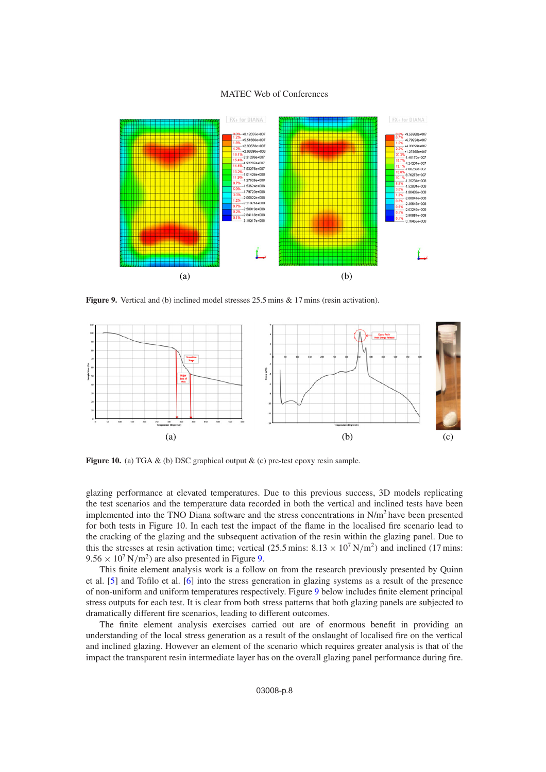<span id="page-7-0"></span>

Figure 9. Vertical and (b) inclined model stresses 25.5 mins & 17 mins (resin activation).

<span id="page-7-1"></span>

**Figure 10.** (a) TGA & (b) DSC graphical output & (c) pre-test epoxy resin sample.

glazing performance at elevated temperatures. Due to this previous success, 3D models replicating the test scenarios and the temperature data recorded in both the vertical and inclined tests have been implemented into the TNO Diana software and the stress concentrations in  $N/m<sup>2</sup>$  have been presented for both tests in Figure 10. In each test the impact of the flame in the localised fire scenario lead to the cracking of the glazing and the subsequent activation of the resin within the glazing panel. Due to this the stresses at resin activation time; vertical (25.5 mins:  $8.13 \times 10^7$  N/m<sup>2</sup>) and inclined (17 mins:  $9.56 \times 10^7$  $9.56 \times 10^7$  N/m<sup>2</sup>) are also presented in Figure 9.

This finite element analysis work is a follow on from the research previously presented by Quinn et al. [\[5](#page-9-4)] and Tofilo et al. [\[6](#page-9-5)] into the stress generation in glazing systems as a result of the presence of non-uniform and uniform temperatures respectively. Figure [9](#page-7-0) below includes finite element principal stress outputs for each test. It is clear from both stress patterns that both glazing panels are subjected to dramatically different fire scenarios, leading to different outcomes.

The finite element analysis exercises carried out are of enormous benefit in providing an understanding of the local stress generation as a result of the onslaught of localised fire on the vertical and inclined glazing. However an element of the scenario which requires greater analysis is that of the impact the transparent resin intermediate layer has on the overall glazing panel performance during fire.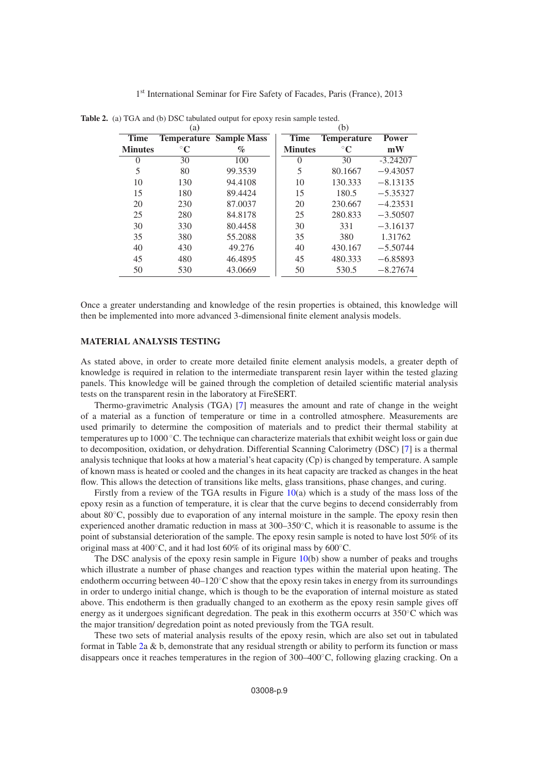|                | (a)         |                                |                | (b)                |              |
|----------------|-------------|--------------------------------|----------------|--------------------|--------------|
| <b>Time</b>    |             | <b>Temperature Sample Mass</b> | <b>Time</b>    | <b>Temperature</b> | <b>Power</b> |
| <b>Minutes</b> | $^{\circ}C$ | $\%$                           | <b>Minutes</b> | $^{\circ}C$        | mW           |
| $\mathbf{0}$   | 30          | 100                            | 0              | 30                 | $-3.24207$   |
| 5              | 80          | 99.3539                        | 5              | 80.1667            | $-9.43057$   |
| 10             | 130         | 94.4108                        | 10             | 130.333            | $-8.13135$   |
| 15             | 180         | 89.4424                        | 15             | 180.5              | $-5.35327$   |
| 20             | 230         | 87.0037                        | 20             | 230.667            | $-4.23531$   |
| 25             | 280         | 84.8178                        | 25             | 280.833            | $-3.50507$   |
| 30             | 330         | 80.4458                        | 30             | 331                | $-3.16137$   |
| 35             | 380         | 55.2088                        | 35             | 380                | 1.31762      |
| 40             | 430         | 49.276                         | 40             | 430.167            | $-5.50744$   |
| 45             | 480         | 46.4895                        | 45             | 480.333            | $-6.85893$   |
| 50             | 530         | 43.0669                        | 50             | 530.5              | $-8.27674$   |

<span id="page-8-0"></span>**Table 2.** (a) TGA and (b) DSC tabulated output for epoxy resin sample tested.

Once a greater understanding and knowledge of the resin properties is obtained, this knowledge will then be implemented into more advanced 3-dimensional finite element analysis models.

#### **MATERIAL ANALYSIS TESTING**

As stated above, in order to create more detailed finite element analysis models, a greater depth of knowledge is required in relation to the intermediate transparent resin layer within the tested glazing panels. This knowledge will be gained through the completion of detailed scientific material analysis tests on the transparent resin in the laboratory at FireSERT.

Thermo-gravimetric Analysis (TGA) [\[7](#page-9-6)] measures the amount and rate of change in the weight of a material as a function of temperature or time in a controlled atmosphere. Measurements are used primarily to determine the composition of materials and to predict their thermal stability at temperatures up to 1000 ◦C. The technique can characterize materials that exhibit weight loss or gain due to decomposition, oxidation, or dehydration. Differential Scanning Calorimetry (DSC) [\[7\]](#page-9-6) is a thermal analysis technique that looks at how a material's heat capacity (Cp) is changed by temperature. A sample of known mass is heated or cooled and the changes in its heat capacity are tracked as changes in the heat flow. This allows the detection of transitions like melts, glass transitions, phase changes, and curing.

Firstly from a review of the TGA results in Figure [10\(](#page-7-1)a) which is a study of the mass loss of the epoxy resin as a function of temperature, it is clear that the curve begins to decend considerrably from about 80◦C, possibly due to evaporation of any internal moisture in the sample. The epoxy resin then experienced another dramatic reduction in mass at 300–350◦C, which it is reasonable to assume is the point of substansial deterioration of the sample. The epoxy resin sample is noted to have lost 50% of its original mass at 400◦C, and it had lost 60% of its original mass by 600◦C.

The DSC analysis of the epoxy resin sample in Figure [10\(](#page-7-1)b) show a number of peaks and troughs which illustrate a number of phase changes and reaction types within the material upon heating. The endotherm occurring between  $40-120\degree C$  show that the epoxy resin takes in energy from its surroundings in order to undergo initial change, which is though to be the evaporation of internal moisture as stated above. This endotherm is then gradually changed to an exotherm as the epoxy resin sample gives off energy as it undergoes significant degredation. The peak in this exotherm occurrs at 350◦C which was the major transition/ degredation point as noted previously from the TGA result.

These two sets of material analysis results of the epoxy resin, which are also set out in tabulated format in Table [2a](#page-8-0) & b, demonstrate that any residual strength or ability to perform its function or mass disappears once it reaches temperatures in the region of 300–400◦C, following glazing cracking. On a